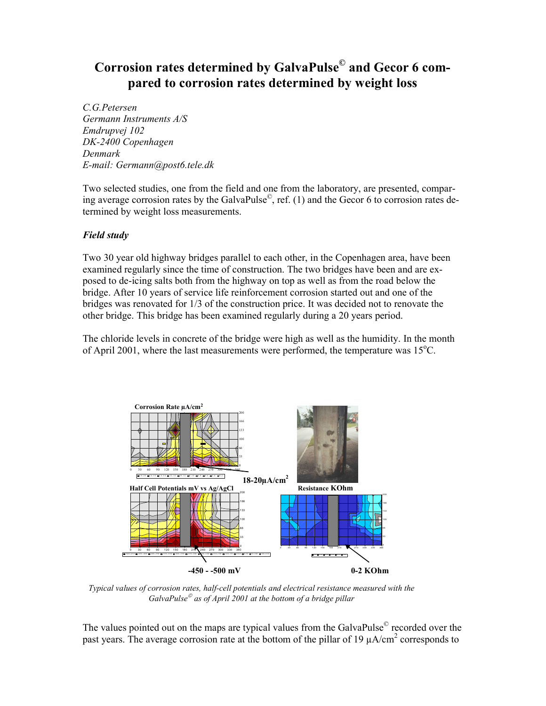# Corrosion rates determined by GalvaPulse© and Gecor 6 compared to corrosion rates determined by weight loss

C.G.Petersen Germann Instruments A/S Emdrupvej 102 DK-2400 Copenhagen Denmark E-mail: Germann@post6.tele.dk

Two selected studies, one from the field and one from the laboratory, are presented, comparing average corrosion rates by the GalvaPulse $^\circ$ , ref. (1) and the Gecor 6 to corrosion rates determined by weight loss measurements.

## Field study

Two 30 year old highway bridges parallel to each other, in the Copenhagen area, have been examined regularly since the time of construction. The two bridges have been and are exposed to de-icing salts both from the highway on top as well as from the road below the bridge. After 10 years of service life reinforcement corrosion started out and one of the bridges was renovated for 1/3 of the construction price. It was decided not to renovate the other bridge. This bridge has been examined regularly during a 20 years period.

The chloride levels in concrete of the bridge were high as well as the humidity. In the month of April 2001, where the last measurements were performed, the temperature was  $15^{\circ}$ C.



Typical values of corrosion rates, half-cell potentials and electrical resistance measured with the GalvaPulse ${}^{\circ}$  as of April 2001 at the bottom of a bridge pillar

The values pointed out on the maps are typical values from the GalvaPulse $^{\circ}$  recorded over the past years. The average corrosion rate at the bottom of the pillar of 19  $\mu$ A/cm<sup>2</sup> corresponds to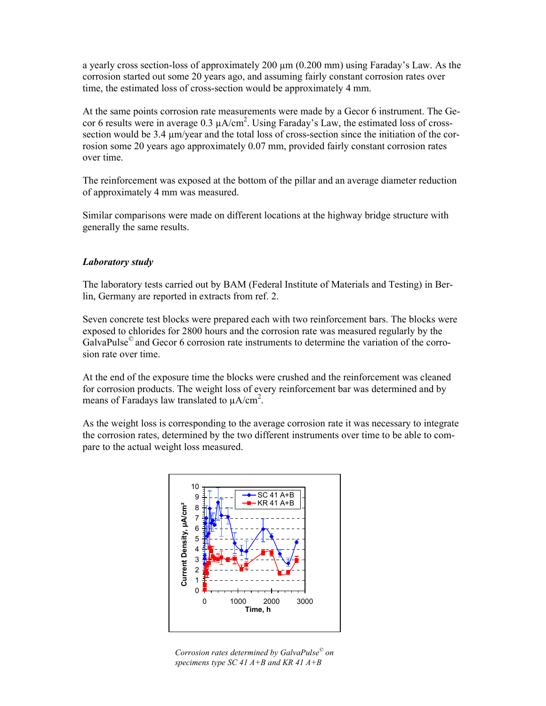a yearly cross section-loss of approximately 200  $\mu$ m (0.200 mm) using Faraday's Law. As the corrosion started out some 20 years ago, and assuming fairly constant corrosion rates over time, the estimated loss of cross-section would be approximately 4 mm.

At the same points corrosion rate measurements were made by a Gecor 6 instrument. The Gecor 6 results were in average 0.3  $\mu A/cm^2$ . Using Faraday's Law, the estimated loss of crosssection would be 3.4 µm/year and the total loss of cross-section since the initiation of the corrosion some 20 years ago approximately 0.07 mm, provided fairly constant corrosion rates over time.

The reinforcement was exposed at the bottom of the pillar and an average diameter reduction of approximately 4 mm was measured.

Similar comparisons were made on different locations at the highway bridge structure with generally the same results.

## Laboratory study

The laboratory tests carried out by BAM (Federal Institute of Materials and Testing) in Berlin, Germany are reported in extracts from ref. 2.

Seven concrete test blocks were prepared each with two reinforcement bars. The blocks were exposed to chlorides for 2800 hours and the corrosion rate was measured regularly by the GalvaPulse<sup>©</sup> and Gecor 6 corrosion rate instruments to determine the variation of the corrosion rate over time.

At the end of the exposure time the blocks were crushed and the reinforcement was cleaned for corrosion products. The weight loss of every reinforcement bar was determined and by means of Faradays law translated to  $\mu A/cm^2$ .

As the weight loss is corresponding to the average corrosion rate it was necessary to integrate the corrosion rates, determined by the two different instruments over time to be able to compare to the actual weight loss measured.



Corrosion rates determined by GalvaPulse<sup>©</sup> on specimens type SC 41  $A+B$  and KR 41  $A+B$